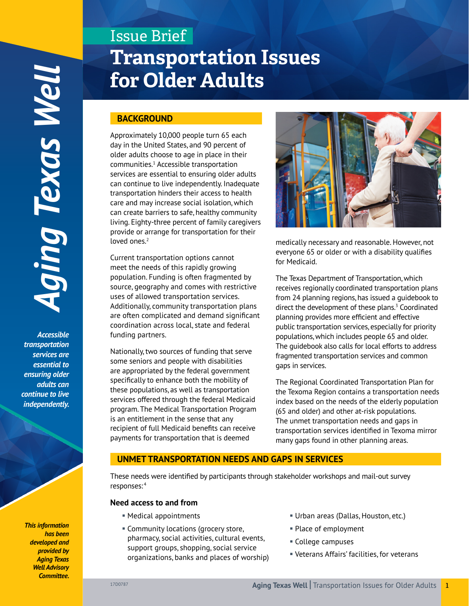*Accessible transportation services are essential to ensuring older adults can continue to live*  independently.

#### *This information has been developed and provided by Aging Texas Well Advisory Committee.*

# Issue Brief **Transportation Issues for Older Adults**

# **BACKGROUND**

Approximately 10,000 people turn 65 each day in the United States, and 90 percent of older adults choose to age in place in their communities.1 Accessible transportation services are essential to ensuring older adults can continue to live independently. Inadequate transportation hinders their access to health care and may increase social isolation, which can create barriers to safe, healthy community living. Eighty-three percent of family caregivers provide or arrange for transportation for their loved ones.<sup>2</sup>

Current transportation options cannot meet the needs of this rapidly growing population. Funding is often fragmented by source, geography and comes with restrictive uses of allowed transportation services. Additionally, community transportation plans are often complicated and demand significant coordination across local, state and federal funding partners.

Nationally, two sources of funding that serve some seniors and people with disabilities are appropriated by the federal government specifically to enhance both the mobility of these populations, as well as transportation services offered through the federal Medicaid program. The Medical Transportation Program is an entitlement in the sense that any recipient of full Medicaid benefits can receive payments for transportation that is deemed



medically necessary and reasonable. However, not everyone 65 or older or with a disability qualifies for Medicaid.

The Texas Department of Transportation, which receives regionally coordinated transportation plans from 24 planning regions, has issued a guidebook to direct the development of these plans.<sup>3</sup> Coordinated planning provides more efficient and effective public transportation services, especially for priority populations, which includes people 65 and older. The guidebook also calls for local efforts to address fragmented transportation services and common gaps in services.

The Regional Coordinated Transportation Plan for the Texoma Region contains a transportation needs index based on the needs of the elderly population (65 and older) and other at-risk populations. The unmet transportation needs and gaps in transportation services identified in Texoma mirror many gaps found in other planning areas.

# **UNMET TRANSPORTATION NEEDS AND GAPS IN SERVICES**

These needs were identified by participants through stakeholder workshops and mail-out survey responses: <sup>4</sup>

#### **Need access to and from**

- § Medical appointments
- § Community locations (grocery store, pharmacy, social activities, cultural events, support groups, shopping, social service organizations, banks and places of worship)
- § Urban areas (Dallas, Houston, etc.)
- § Place of employment
- § College campuses
- § Veterans Affairs' facilities, for veterans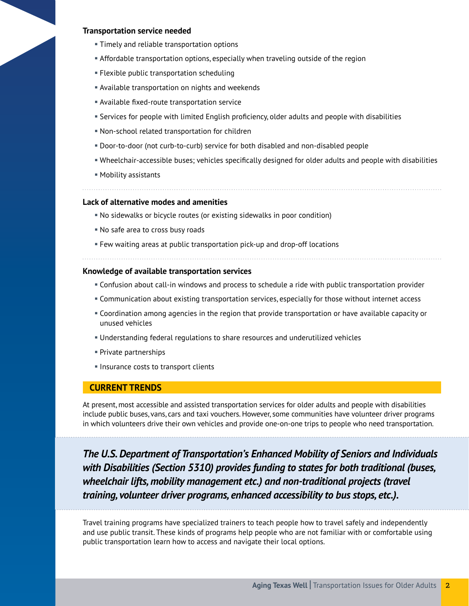#### **Transportation service needed**

- **Timely and reliable transportation options**
- **Affordable transportation options, especially when traveling outside of the region**
- § Flexible public transportation scheduling
- § Available transportation on nights and weekends
- § Available fixed-route transportation service
- § Services for people with limited English proficiency, older adults and people with disabilities
- § Non-school related transportation for children
- § Door-to-door (not curb-to-curb) service for both disabled and non-disabled people
- § Wheelchair-accessible buses; vehicles specifically designed for older adults and people with disabilities
- § Mobility assistants

#### **Lack of alternative modes and amenities**

- § No sidewalks or bicycle routes (or existing sidewalks in poor condition)
- § No safe area to cross busy roads
- § Few waiting areas at public transportation pick-up and drop-off locations

#### **Knowledge of available transportation services**

- § Confusion about call-in windows and process to schedule a ride with public transportation provider
- § Communication about existing transportation services, especially for those without internet access
- § Coordination among agencies in the region that provide transportation or have available capacity or unused vehicles
- § Understanding federal regulations to share resources and underutilized vehicles
- § Private partnerships
- § Insurance costs to transport clients

#### **CURRENT TRENDS**

At present, most accessible and assisted transportation services for older adults and people with disabilities include public buses, vans, cars and taxi vouchers. However, some communities have volunteer driver programs in which volunteers drive their own vehicles and provide one-on-one trips to people who need transportation.

*The U.S. Department of Transportation's Enhanced Mobility of Seniors and Individuals with Disabilities (Section 5310) provides funding to states for both traditional (buses, wheelchair lifts, mobility management etc.) and non-traditional projects (travel training, volunteer driver programs, enhanced accessibility to bus stops, etc.).*

Travel training programs have specialized trainers to teach people how to travel safely and independently and use public transit. These kinds of programs help people who are not familiar with or comfortable using public transportation learn how to access and navigate their local options.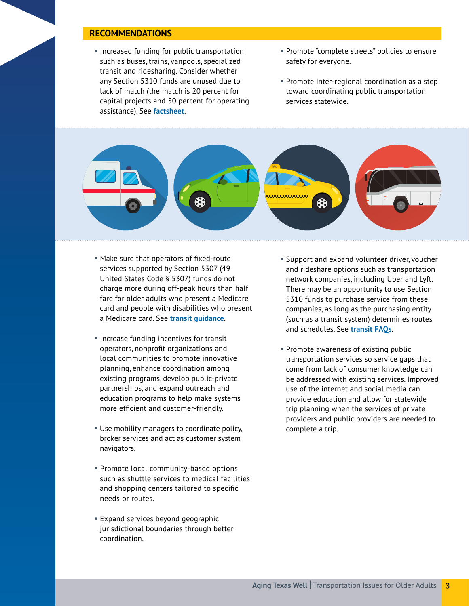## **RECOMMENDATIONS**

- **Increased funding for public transportation** such as buses, trains, vanpools, specialized transit and ridesharing. Consider whether any Section 5310 funds are unused due to lack of match (the match is 20 percent for capital projects and 50 percent for operating assistance). See **[factsheet](http://transit.dot.gov/sites/fta.dot.gov/files/docs/funding/grants/37971/5310-enhanced-mobility-seniors-disabled-fact-sheet_0.pdf)**.
- § Promote "complete streets" policies to ensure safety for everyone.
- § Promote inter-regional coordination as a step toward coordinating public transportation services statewide.



- § Make sure that operators of fixed-route services supported by Section 5307 (49 United States Code § 5307) funds do not charge more during off-peak hours than half fare for older adults who present a Medicare card and people with disabilities who present a Medicare card. See **[transit guidance](http://transit.dot.gov/regulations-and-guidance/civil-rights-ada/half-fare-triennial-guidance-fy2011)**.
- Increase funding incentives for transit operators, nonprofit organizations and local communities to promote innovative planning, enhance coordination among existing programs, develop public-private partnerships, and expand outreach and education programs to help make systems more efficient and customer-friendly.
- § Use mobility managers to coordinate policy, broker services and act as customer system navigators.
- § Promote local community-based options such as shuttle services to medical facilities and shopping centers tailored to specific needs or routes.
- Expand services beyond geographic jurisdictional boundaries through better coordination.
- Support and expand volunteer driver, voucher and rideshare options such as transportation network companies, including Uber and Lyft. There may be an opportunity to use Section 5310 funds to purchase service from these companies, as long as the purchasing entity (such as a transit system) determines routes and schedules. See **[transit FAQs](http://transit.dot.gov/funding/grants/grant-programs/section-5310-%E2%80%93-enhanced-mobility-seniors-and-individuals-disabilities)**.
- § Promote awareness of existing public transportation services so service gaps that come from lack of consumer knowledge can be addressed with existing services. Improved use of the internet and social media can provide education and allow for statewide trip planning when the services of private providers and public providers are needed to complete a trip.